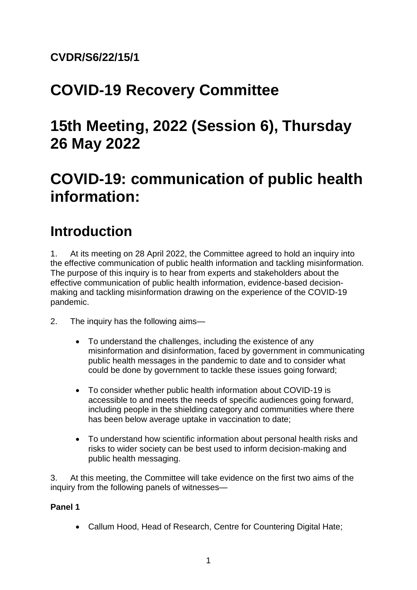### **CVDR/S6/22/15/1**

# **COVID-19 Recovery Committee**

# **15th Meeting, 2022 (Session 6), Thursday 26 May 2022**

# **COVID-19: communication of public health information:**

## **Introduction**

1. At its meeting on 28 April 2022, the Committee agreed to hold an inquiry into the effective communication of public health information and tackling misinformation. The purpose of this inquiry is to hear from experts and stakeholders about the effective communication of public health information, evidence-based decisionmaking and tackling misinformation drawing on the experience of the COVID-19 pandemic.

- 2. The inquiry has the following aims—
	- To understand the challenges, including the existence of any misinformation and disinformation, faced by government in communicating public health messages in the pandemic to date and to consider what could be done by government to tackle these issues going forward;
	- To consider whether public health information about COVID-19 is accessible to and meets the needs of specific audiences going forward, including people in the shielding category and communities where there has been below average uptake in vaccination to date;
	- To understand how scientific information about personal health risks and risks to wider society can be best used to inform decision-making and public health messaging.

3. At this meeting, the Committee will take evidence on the first two aims of the inquiry from the following panels of witnesses—

#### **Panel 1**

• Callum Hood, Head of Research, Centre for Countering Digital Hate;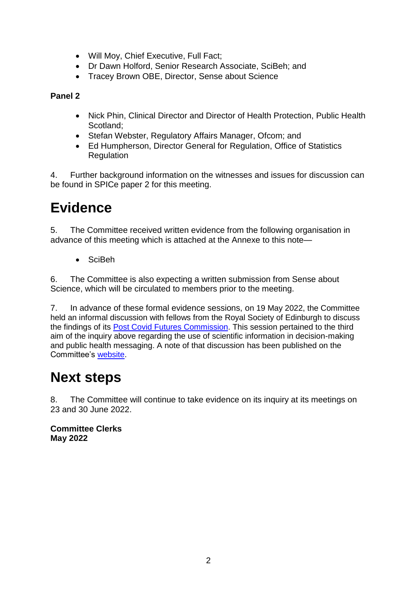- Will Moy, Chief Executive, Full Fact;
- Dr Dawn Holford, Senior Research Associate, SciBeh; and
- Tracey Brown OBE, Director, Sense about Science

#### **Panel 2**

- Nick Phin, Clinical Director and Director of Health Protection, Public Health Scotland;
- Stefan Webster, Regulatory Affairs Manager, Ofcom; and
- Ed Humpherson, Director General for Regulation, Office of Statistics Regulation

4. Further background information on the witnesses and issues for discussion can be found in SPICe paper 2 for this meeting.

## **Evidence**

5. The Committee received written evidence from the following organisation in advance of this meeting which is attached at the Annexe to this note—

• SciBeh

6. The Committee is also expecting a written submission from Sense about Science, which will be circulated to members prior to the meeting.

7. In advance of these formal evidence sessions, on 19 May 2022, the Committee held an informal discussion with fellows from the Royal Society of Edinburgh to discuss the findings of its [Post Covid Futures Commission.](https://www.rsecovidcommission.org.uk/) This session pertained to the third aim of the inquiry above regarding the use of scientific information in decision-making and public health messaging. A note of that discussion has been published on the Committee's [website.](https://www.parliament.scot/-/media/files/committees/covid19-recovery-committee/correspondence/2022/20220519noteofdiscussion.pdf)

# **Next steps**

8. The Committee will continue to take evidence on its inquiry at its meetings on 23 and 30 June 2022.

**Committee Clerks May 2022**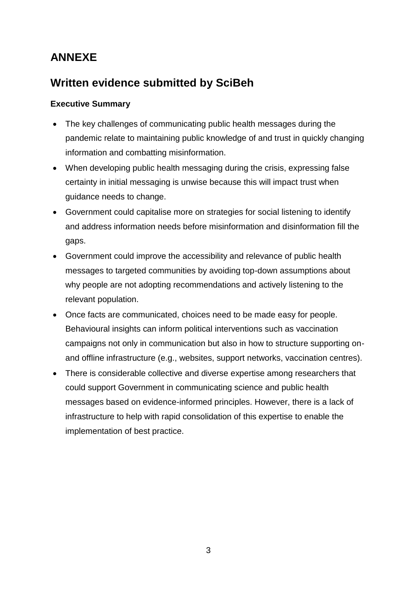## **ANNEXE**

### **Written evidence submitted by SciBeh**

#### **Executive Summary**

- The key challenges of communicating public health messages during the pandemic relate to maintaining public knowledge of and trust in quickly changing information and combatting misinformation.
- When developing public health messaging during the crisis, expressing false certainty in initial messaging is unwise because this will impact trust when guidance needs to change.
- Government could capitalise more on strategies for social listening to identify and address information needs before misinformation and disinformation fill the gaps.
- Government could improve the accessibility and relevance of public health messages to targeted communities by avoiding top-down assumptions about why people are not adopting recommendations and actively listening to the relevant population.
- Once facts are communicated, choices need to be made easy for people. Behavioural insights can inform political interventions such as vaccination campaigns not only in communication but also in how to structure supporting onand offline infrastructure (e.g., websites, support networks, vaccination centres).
- There is considerable collective and diverse expertise among researchers that could support Government in communicating science and public health messages based on evidence-informed principles. However, there is a lack of infrastructure to help with rapid consolidation of this expertise to enable the implementation of best practice.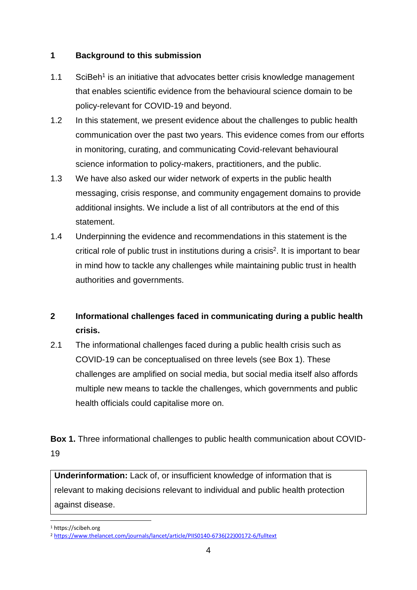#### **1 Background to this submission**

- 1.1 SciBeh<sup>1</sup> is an initiative that advocates better crisis knowledge management that enables scientific evidence from the behavioural science domain to be policy-relevant for COVID-19 and beyond.
- 1.2 In this statement, we present evidence about the challenges to public health communication over the past two years. This evidence comes from our efforts in monitoring, curating, and communicating Covid-relevant behavioural science information to policy-makers, practitioners, and the public.
- 1.3 We have also asked our wider network of experts in the public health messaging, crisis response, and community engagement domains to provide additional insights. We include a list of all contributors at the end of this statement.
- 1.4 Underpinning the evidence and recommendations in this statement is the critical role of public trust in institutions during a crisis<sup>2</sup>. It is important to bear in mind how to tackle any challenges while maintaining public trust in health authorities and governments.

### **2 Informational challenges faced in communicating during a public health crisis.**

2.1 The informational challenges faced during a public health crisis such as COVID-19 can be conceptualised on three levels (see Box 1). These challenges are amplified on social media, but social media itself also affords multiple new means to tackle the challenges, which governments and public health officials could capitalise more on.

**Box 1.** Three informational challenges to public health communication about COVID-19

**Underinformation:** Lack of, or insufficient knowledge of information that is relevant to making decisions relevant to individual and public health protection against disease.

1 <sup>1</sup> https://scibeh.org

<sup>2</sup> [https://www.thelancet.com/journals/lancet/article/PIIS0140-6736\(22\)00172-6/fulltext](https://www.thelancet.com/journals/lancet/article/PIIS0140-6736(22)00172-6/fulltext)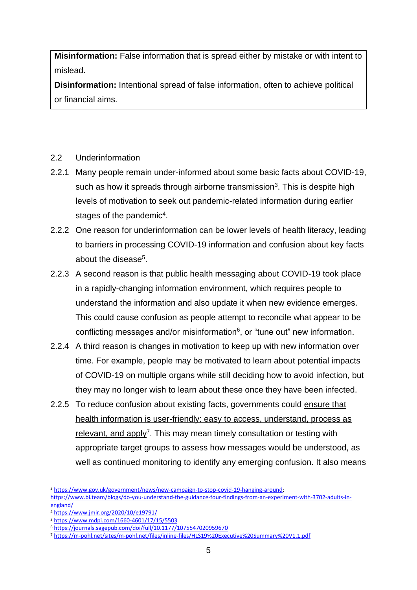**Misinformation:** False information that is spread either by mistake or with intent to mislead.

**Disinformation:** Intentional spread of false information, often to achieve political or financial aims.

#### 2.2 Underinformation

- 2.2.1 Many people remain under-informed about some basic facts about COVID-19, such as how it spreads through airborne transmission<sup>3</sup>. This is despite high levels of motivation to seek out pandemic-related information during earlier stages of the pandemic<sup>4</sup>.
- 2.2.2 One reason for underinformation can be lower levels of health literacy, leading to barriers in processing COVID-19 information and confusion about key facts about the disease<sup>5</sup>.
- 2.2.3 A second reason is that public health messaging about COVID-19 took place in a rapidly-changing information environment, which requires people to understand the information and also update it when new evidence emerges. This could cause confusion as people attempt to reconcile what appear to be conflicting messages and/or misinformation<sup>6</sup>, or "tune out" new information.
- 2.2.4 A third reason is changes in motivation to keep up with new information over time. For example, people may be motivated to learn about potential impacts of COVID-19 on multiple organs while still deciding how to avoid infection, but they may no longer wish to learn about these once they have been infected.
- 2.2.5 To reduce confusion about existing facts, governments could ensure that health information is user-friendly: easy to access, understand, process as relevant, and apply<sup>7</sup>. This may mean timely consultation or testing with appropriate target groups to assess how messages would be understood, as well as continued monitoring to identify any emerging confusion. It also means

<sup>3</sup> [https://www.gov.uk/government/news/new-campaign-to-stop-covid-19-hanging-around;](https://www.gov.uk/government/news/new-campaign-to-stop-covid-19-hanging-around)

[https://www.bi.team/blogs/do-you-understand-the-guidance-four-findings-from-an-experiment-with-3702-adults-in](https://www.google.com/url?q=https://www.bi.team/blogs/do-you-understand-the-guidance-four-findings-from-an-experiment-with-3702-adults-in-england/&sa=D&source=docs&ust=1653032327194090&usg=AOvVaw2rov8ZkgrJRMX7bEa-CN92)[england/](https://www.google.com/url?q=https://www.bi.team/blogs/do-you-understand-the-guidance-four-findings-from-an-experiment-with-3702-adults-in-england/&sa=D&source=docs&ust=1653032327194090&usg=AOvVaw2rov8ZkgrJRMX7bEa-CN92)

<sup>4</sup> <https://www.jmir.org/2020/10/e19791/>

<sup>5</sup> <https://www.mdpi.com/1660-4601/17/15/5503>

<sup>6</sup> [https://journals.sagepub.com/doi/full/10.1177/1075547020959670](https://www.google.com/url?q=https://journals.sagepub.com/doi/full/10.1177/1075547020959670&sa=D&source=docs&ust=1653032327206972&usg=AOvVaw1IbZspY-hbHpEusD7WGeHm)

<sup>7</sup> <https://m-pohl.net/sites/m-pohl.net/files/inline-files/HLS19%20Executive%20Summary%20V1.1.pdf>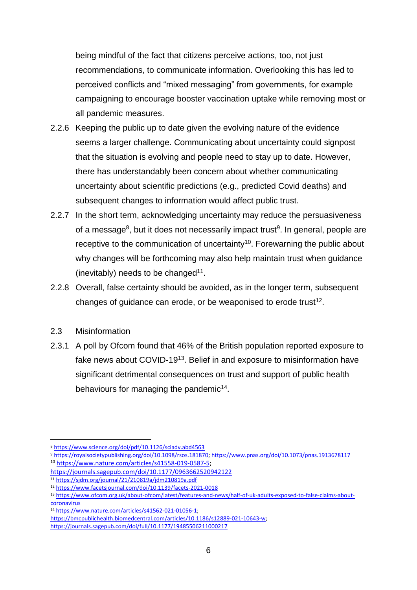being mindful of the fact that citizens perceive actions, too, not just recommendations, to communicate information. Overlooking this has led to perceived conflicts and "mixed messaging" from governments, for example campaigning to encourage booster vaccination uptake while removing most or all pandemic measures.

- 2.2.6 Keeping the public up to date given the evolving nature of the evidence seems a larger challenge. Communicating about uncertainty could signpost that the situation is evolving and people need to stay up to date. However, there has understandably been concern about whether communicating uncertainty about scientific predictions (e.g., predicted Covid deaths) and subsequent changes to information would affect public trust.
- 2.2.7 In the short term, acknowledging uncertainty may reduce the persuasiveness of a message<sup>8</sup>, but it does not necessarily impact trust<sup>9</sup>. In general, people are receptive to the communication of uncertainty<sup>10</sup>. Forewarning the public about why changes will be forthcoming may also help maintain trust when guidance (inevitably) needs to be changed $11$ .
- 2.2.8 Overall, false certainty should be avoided, as in the longer term, subsequent changes of guidance can erode, or be weaponised to erode trust<sup>12</sup>.

#### 2.3 Misinformation

1

2.3.1 A poll by Ofcom found that 46% of the British population reported exposure to fake news about COVID-19<sup>13</sup>. Belief in and exposure to misinformation have significant detrimental consequences on trust and support of public health behaviours for managing the pandemic<sup>14</sup>.

<sup>8</sup> <https://www.science.org/doi/pdf/10.1126/sciadv.abd4563>

<sup>9</sup> [https://royalsocietypublishing.org/doi/10.1098/rsos.181870;](https://royalsocietypublishing.org/doi/10.1098/rsos.181870)<https://www.pnas.org/doi/10.1073/pnas.1913678117> <sup>10</sup> [https://www.nature.com/articles/s41558-019-0587-5;](https://www.nature.com/articles/s41558-019-0587-5) 

<https://journals.sagepub.com/doi/10.1177/0963662520942122>

<sup>11</sup> <https://sjdm.org/journal/21/210819a/jdm210819a.pdf>

<sup>12</sup> <https://www.facetsjournal.com/doi/10.1139/facets-2021-0018>

<sup>13</sup> [https://www.ofcom.org.uk/about-ofcom/latest/features-and-news/half-of-uk-adults-exposed-to-false-claims-about](https://www.google.com/url?q=https://www.ofcom.org.uk/about-ofcom/latest/features-and-news/half-of-uk-adults-exposed-to-false-claims-about-coronavirus&sa=D&source=docs&ust=1653032327232838&usg=AOvVaw2j-PScSe-jEZ5mQNGAzbt6)[coronavirus](https://www.google.com/url?q=https://www.ofcom.org.uk/about-ofcom/latest/features-and-news/half-of-uk-adults-exposed-to-false-claims-about-coronavirus&sa=D&source=docs&ust=1653032327232838&usg=AOvVaw2j-PScSe-jEZ5mQNGAzbt6)

<sup>14</sup> [https://www.nature.com/articles/s41562-021-01056-1;](https://www.nature.com/articles/s41562-021-01056-1) 

[https://bmcpublichealth.biomedcentral.com/articles/10.1186/s12889-021-10643-w;](https://bmcpublichealth.biomedcentral.com/articles/10.1186/s12889-021-10643-w) 

<https://journals.sagepub.com/doi/full/10.1177/19485506211000217>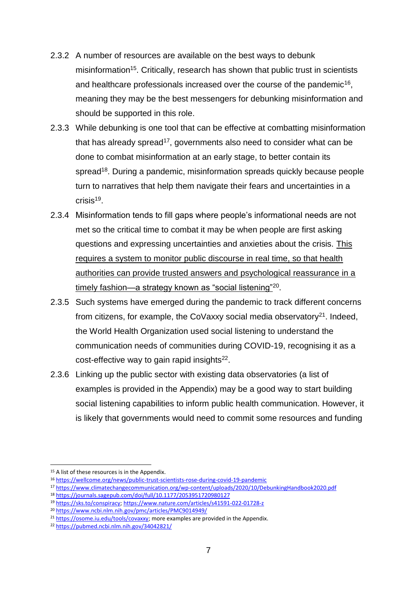- 2.3.2 A number of resources are available on the best ways to debunk misinformation<sup>15</sup>. Critically, research has shown that public trust in scientists and healthcare professionals increased over the course of the pandemic<sup>16</sup>, meaning they may be the best messengers for debunking misinformation and should be supported in this role.
- 2.3.3 While debunking is one tool that can be effective at combatting misinformation that has already spread<sup>17</sup>, governments also need to consider what can be done to combat misinformation at an early stage, to better contain its spread<sup>18</sup>. During a pandemic, misinformation spreads quickly because people turn to narratives that help them navigate their fears and uncertainties in a crisis<sup>19</sup>.
- 2.3.4 Misinformation tends to fill gaps where people's informational needs are not met so the critical time to combat it may be when people are first asking questions and expressing uncertainties and anxieties about the crisis. This requires a system to monitor public discourse in real time, so that health authorities can provide trusted answers and psychological reassurance in a timely fashion—a strategy known as "social listening"<sup>20</sup>.
- 2.3.5 Such systems have emerged during the pandemic to track different concerns from citizens, for example, the CoVaxxy social media observatory<sup>21</sup>. Indeed, the World Health Organization used social listening to understand the communication needs of communities during COVID-19, recognising it as a cost-effective way to gain rapid insights $^{22}$ .
- 2.3.6 Linking up the public sector with existing data observatories (a list of examples is provided in the Appendix) may be a good way to start building social listening capabilities to inform public health communication. However, it is likely that governments would need to commit some resources and funding

<u>.</u>

<sup>&</sup>lt;sup>15</sup> A list of these resources is in the Appendix.

<sup>16</sup> [https://wellcome.org/news/public-trust-scientists-rose-during-covid-19-pandemic](https://www.google.com/url?q=https://wellcome.org/news/public-trust-scientists-rose-during-covid-19-pandemic&sa=D&source=docs&ust=1653032327208318&usg=AOvVaw0xM9pVObiuI-r_Of-sqCiN)

<sup>17</sup> <https://www.climatechangecommunication.org/wp-content/uploads/2020/10/DebunkingHandbook2020.pdf>

<sup>18</sup> [https://journals.sagepub.com/doi/full/10.1177/2053951720980127](https://www.google.com/url?q=https://journals.sagepub.com/doi/full/10.1177/2053951720980127&sa=D&source=docs&ust=1653032327233134&usg=AOvVaw2tYJCyPwruynudODCt--zc)

<sup>19</sup> [https://sks.to/conspiracy;](https://sks.to/conspiracy)<https://www.nature.com/articles/s41591-022-01728-z>

<sup>20</sup> <https://www.ncbi.nlm.nih.gov/pmc/articles/PMC9014949/>

<sup>&</sup>lt;sup>21</sup> [https://osome.iu.edu/tools/covaxxy;](https://osome.iu.edu/tools/covaxxy) more examples are provided in the Appendix.

<sup>22</sup> <https://pubmed.ncbi.nlm.nih.gov/34042821/>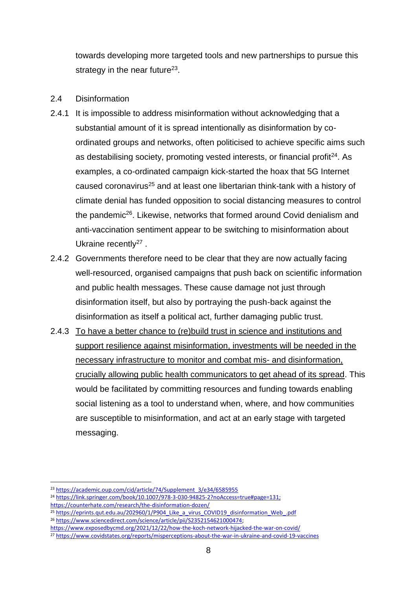towards developing more targeted tools and new partnerships to pursue this strategy in the near future<sup>23</sup>.

#### 2.4 Disinformation

- 2.4.1 It is impossible to address misinformation without acknowledging that a substantial amount of it is spread intentionally as disinformation by coordinated groups and networks, often politicised to achieve specific aims such as destabilising society, promoting vested interests, or financial profit<sup>24</sup>. As examples, a co-ordinated campaign kick-started the hoax that 5G Internet caused coronavirus<sup>25</sup> and at least one libertarian think-tank with a history of climate denial has funded opposition to social distancing measures to control the pandemic<sup>26</sup>. Likewise, networks that formed around Covid denialism and anti-vaccination sentiment appear to be switching to misinformation about Ukraine recently<sup>27</sup>.
- 2.4.2 Governments therefore need to be clear that they are now actually facing well-resourced, organised campaigns that push back on scientific information and public health messages. These cause damage not just through disinformation itself, but also by portraying the push-back against the disinformation as itself a political act, further damaging public trust.
- 2.4.3 To have a better chance to (re)build trust in science and institutions and support resilience against misinformation, investments will be needed in the necessary infrastructure to monitor and combat mis- and disinformation, crucially allowing public health communicators to get ahead of its spread. This would be facilitated by committing resources and funding towards enabling social listening as a tool to understand when, where, and how communities are susceptible to misinformation, and act at an early stage with targeted messaging.

<sup>1</sup> <sup>23</sup> [https://academic.oup.com/cid/article/74/Supplement\\_3/e34/6585955](https://academic.oup.com/cid/article/74/Supplement_3/e34/6585955)

<sup>24</sup> [https://link.springer.com/book/10.1007/978-3-030-94825-2?noAccess=true#page=131;](https://link.springer.com/book/10.1007/978-3-030-94825-2?noAccess=true#page=131)  <https://counterhate.com/research/the-disinformation-dozen/>

<sup>&</sup>lt;sup>25</sup> https://eprints.qut.edu.au/202960/1/P904 Like a virus COVID19 disinformation Web .pdf <sup>26</sup> [https://www.sciencedirect.com/science/article/pii/S2352154621000474;](https://www.sciencedirect.com/science/article/pii/S2352154621000474?via%3Dihub)

<https://www.exposedbycmd.org/2021/12/22/how-the-koch-network-hijacked-the-war-on-covid/>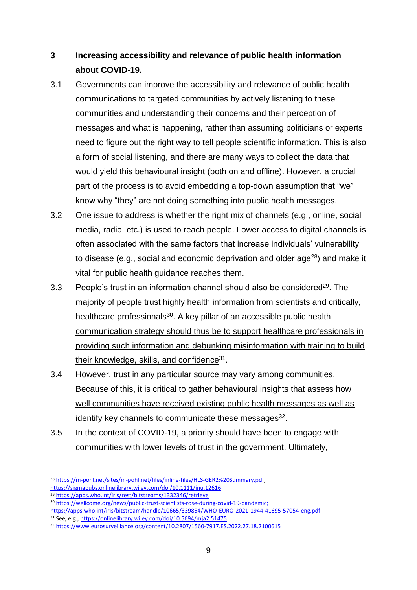### **3 Increasing accessibility and relevance of public health information about COVID-19.**

- 3.1 Governments can improve the accessibility and relevance of public health communications to targeted communities by actively listening to these communities and understanding their concerns and their perception of messages and what is happening, rather than assuming politicians or experts need to figure out the right way to tell people scientific information. This is also a form of social listening, and there are many ways to collect the data that would yield this behavioural insight (both on and offline). However, a crucial part of the process is to avoid embedding a top-down assumption that "we" know why "they" are not doing something into public health messages.
- 3.2 One issue to address is whether the right mix of channels (e.g., online, social media, radio, etc.) is used to reach people. Lower access to digital channels is often associated with the same factors that increase individuals' vulnerability to disease (e.g., social and economic deprivation and older age $^{28}$ ) and make it vital for public health guidance reaches them.
- 3.3 People's trust in an information channel should also be considered $^{29}$ . The majority of people trust highly health information from scientists and critically, healthcare professionals<sup>30</sup>. A key pillar of an accessible public health communication strategy should thus be to support healthcare professionals in providing such information and debunking misinformation with training to build their knowledge, skills, and confidence<sup>31</sup>.
- 3.4 However, trust in any particular source may vary among communities. Because of this, it is critical to gather behavioural insights that assess how well communities have received existing public health messages as well as identify key channels to communicate these messages<sup>32</sup>.
- 3.5 In the context of COVID-19, a priority should have been to engage with communities with lower levels of trust in the government. Ultimately,

<sup>1</sup> <sup>28</sup> [https://m-pohl.net/sites/m-pohl.net/files/inline-files/HLS-GER2%20Summary.pdf;](https://m-pohl.net/sites/m-pohl.net/files/inline-files/HLS-GER2%20Summary.pdf) <https://sigmapubs.onlinelibrary.wiley.com/doi/10.1111/jnu.12616>

<sup>29</sup> [https://apps.who.int/iris/rest/bitstreams/1332346/retrieve](https://www.google.com/url?q=https://apps.who.int/iris/rest/bitstreams/1332346/retrieve&sa=D&source=docs&ust=1653032327213616&usg=AOvVaw2haleCy3pJ_R40O5b0v2VL)

<sup>30</sup> [https://wellcome.org/news/public-trust-scientists-rose-during-covid-19-pandemic;](https://www.google.com/url?q=https://wellcome.org/news/public-trust-scientists-rose-during-covid-19-pandemic&sa=D&source=docs&ust=1653032327185787&usg=AOvVaw1QyzwmXYSbHPxnIm46P1u_)

https://apps.who.int/iris/bitstream/handle/10665/339854/WHO-EURO-2021-1944-41695-57054-eng.pdf

<sup>31</sup> See, e.g.,<https://onlinelibrary.wiley.com/doi/10.5694/mja2.51475>

<sup>32</sup> <https://www.eurosurveillance.org/content/10.2807/1560-7917.ES.2022.27.18.2100615>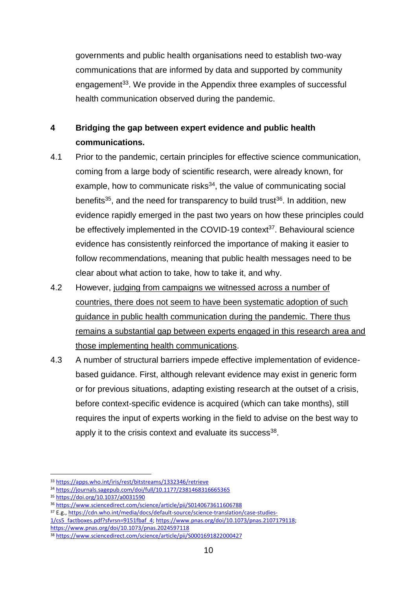governments and public health organisations need to establish two-way communications that are informed by data and supported by community engagement<sup>33</sup>. We provide in the Appendix three examples of successful health communication observed during the pandemic.

### **4 Bridging the gap between expert evidence and public health communications.**

- 4.1 Prior to the pandemic, certain principles for effective science communication, coming from a large body of scientific research, were already known, for example, how to communicate risks $34$ , the value of communicating social benefits<sup>35</sup>, and the need for transparency to build trust<sup>36</sup>. In addition, new evidence rapidly emerged in the past two years on how these principles could be effectively implemented in the COVID-19 context<sup>37</sup>. Behavioural science evidence has consistently reinforced the importance of making it easier to follow recommendations, meaning that public health messages need to be clear about what action to take, how to take it, and why.
- 4.2 However, judging from campaigns we witnessed across a number of countries, there does not seem to have been systematic adoption of such guidance in public health communication during the pandemic. There thus remains a substantial gap between experts engaged in this research area and those implementing health communications.
- 4.3 A number of structural barriers impede effective implementation of evidencebased guidance. First, although relevant evidence may exist in generic form or for previous situations, adapting existing research at the outset of a crisis, before context-specific evidence is acquired (which can take months), still requires the input of experts working in the field to advise on the best way to apply it to the crisis context and evaluate its success<sup>38</sup>.

<sup>33</sup> [https://apps.who.int/iris/rest/bitstreams/1332346/retrieve](https://www.google.com/url?q=https://apps.who.int/iris/rest/bitstreams/1332346/retrieve&sa=D&source=docs&ust=1653032327186130&usg=AOvVaw0Ibk4izYnunuom2xq_a46V)

<sup>34</sup> [https://journals.sagepub.com/doi/full/10.1177/2381468316665365](https://www.google.com/url?q=https://journals.sagepub.com/doi/full/10.1177/2381468316665365&sa=D&source=docs&ust=1653032327188242&usg=AOvVaw0GIl76S6cIxX9Z9saAP6AU)

<sup>35</sup> [https://doi.org/10.1037/a0031590](https://doi.apa.org/doi/10.1037/a0031590)

<sup>36</sup> <https://www.sciencedirect.com/science/article/pii/S0140673611606788>

<sup>37</sup> E.g.[, https://cdn.who.int/media/docs/default-source/science-translation/case-studies-](https://cdn.who.int/media/docs/default-source/science-translation/case-studies-1/cs5_factboxes.pdf?sfvrsn=9151fbaf_4)

[<sup>1/</sup>cs5\\_factboxes.pdf?sfvrsn=9151fbaf\\_4;](https://cdn.who.int/media/docs/default-source/science-translation/case-studies-1/cs5_factboxes.pdf?sfvrsn=9151fbaf_4) [https://www.pnas.org/doi/10.1073/pnas.2107179118;](https://www.pnas.org/doi/10.1073/pnas.2107179118)

<https://www.pnas.org/doi/10.1073/pnas.2024597118>

<sup>38</sup> [https://www.sciencedirect.com/science/article/pii/S0001691822000427](https://www.google.com/url?q=https://www.sciencedirect.com/science/article/pii/S0001691822000427&sa=D&source=docs&ust=1653032327233439&usg=AOvVaw3KJecmyTcDc_vCcbl2McwU)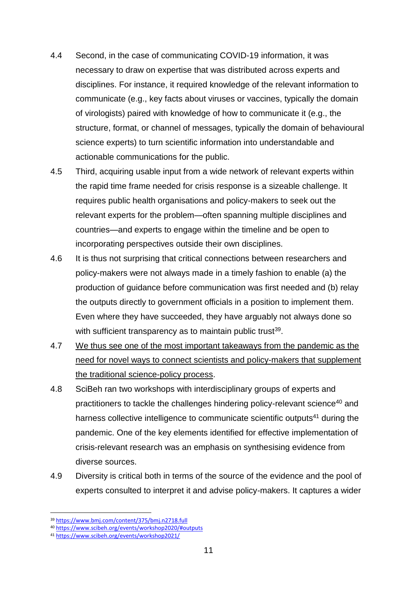- 4.4 Second, in the case of communicating COVID-19 information, it was necessary to draw on expertise that was distributed across experts and disciplines. For instance, it required knowledge of the relevant information to communicate (e.g., key facts about viruses or vaccines, typically the domain of virologists) paired with knowledge of how to communicate it (e.g., the structure, format, or channel of messages, typically the domain of behavioural science experts) to turn scientific information into understandable and actionable communications for the public.
- 4.5 Third, acquiring usable input from a wide network of relevant experts within the rapid time frame needed for crisis response is a sizeable challenge. It requires public health organisations and policy-makers to seek out the relevant experts for the problem—often spanning multiple disciplines and countries—and experts to engage within the timeline and be open to incorporating perspectives outside their own disciplines.
- 4.6 It is thus not surprising that critical connections between researchers and policy-makers were not always made in a timely fashion to enable (a) the production of guidance before communication was first needed and (b) relay the outputs directly to government officials in a position to implement them. Even where they have succeeded, they have arguably not always done so with sufficient transparency as to maintain public trust<sup>39</sup>.
- 4.7 We thus see one of the most important takeaways from the pandemic as the need for novel ways to connect scientists and policy-makers that supplement the traditional science-policy process.
- 4.8 SciBeh ran two workshops with interdisciplinary groups of experts and practitioners to tackle the challenges hindering policy-relevant science<sup>40</sup> and harness collective intelligence to communicate scientific outputs<sup>41</sup> during the pandemic. One of the key elements identified for effective implementation of crisis-relevant research was an emphasis on synthesising evidence from diverse sources.
- 4.9 Diversity is critical both in terms of the source of the evidence and the pool of experts consulted to interpret it and advise policy-makers. It captures a wider

<sup>1</sup> <sup>39</sup> <https://www.bmj.com/content/375/bmj.n2718.full>

<sup>40</sup> [https://www.scibeh.org/events/workshop2020/#outputs](https://www.google.com/url?q=https://www.scibeh.org/events/workshop2020/%23outputs&sa=D&source=docs&ust=1653032327195903&usg=AOvVaw2gR0jDrLA2mbngryQ_O6-i)

<sup>41</sup> [https://www.scibeh.org/events/workshop2021/](https://www.google.com/url?q=https://www.scibeh.org/events/workshop2021/&sa=D&source=docs&ust=1653032327196445&usg=AOvVaw19sg1oCldX8l1BH0tE-59r)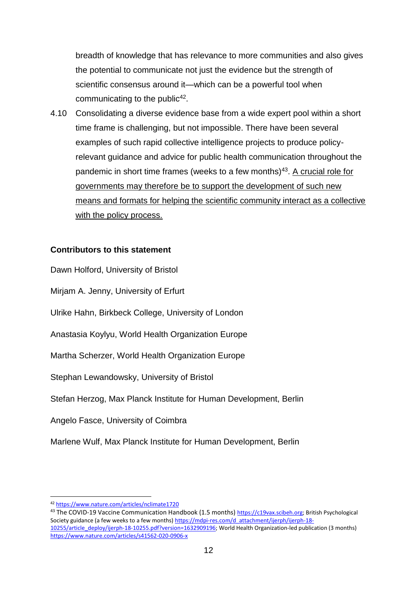breadth of knowledge that has relevance to more communities and also gives the potential to communicate not just the evidence but the strength of scientific consensus around it—which can be a powerful tool when communicating to the public<sup>42</sup>.

4.10 Consolidating a diverse evidence base from a wide expert pool within a short time frame is challenging, but not impossible. There have been several examples of such rapid collective intelligence projects to produce policyrelevant guidance and advice for public health communication throughout the pandemic in short time frames (weeks to a few months)<sup>43</sup>. A crucial role for governments may therefore be to support the development of such new means and formats for helping the scientific community interact as a collective with the policy process.

#### **Contributors to this statement**

Dawn Holford, University of Bristol

Mirjam A. Jenny, University of Erfurt

Ulrike Hahn, Birkbeck College, University of London

Anastasia Koylyu, World Health Organization Europe

Martha Scherzer, World Health Organization Europe

Stephan Lewandowsky, University of Bristol

Stefan Herzog, Max Planck Institute for Human Development, Berlin

Angelo Fasce, University of Coimbra

Marlene Wulf, Max Planck Institute for Human Development, Berlin

<sup>42</sup> <https://www.nature.com/articles/nclimate1720>

<sup>43</sup> The COVID-19 Vaccine Communication Handbook (1.5 months) [https://c19vax.scibeh.org;](https://c19vax.scibeh.org/) British Psychological Society guidance (a few weeks to a few months) [https://mdpi-res.com/d\\_attachment/ijerph/ijerph-18-](https://mdpi-res.com/d_attachment/ijerph/ijerph-18-10255/article_deploy/ijerph-18-10255.pdf?version=1632909196) [10255/article\\_deploy/ijerph-18-10255.pdf?version=1632909196;](https://mdpi-res.com/d_attachment/ijerph/ijerph-18-10255/article_deploy/ijerph-18-10255.pdf?version=1632909196) World Health Organization-led publication (3 months) <https://www.nature.com/articles/s41562-020-0906-x>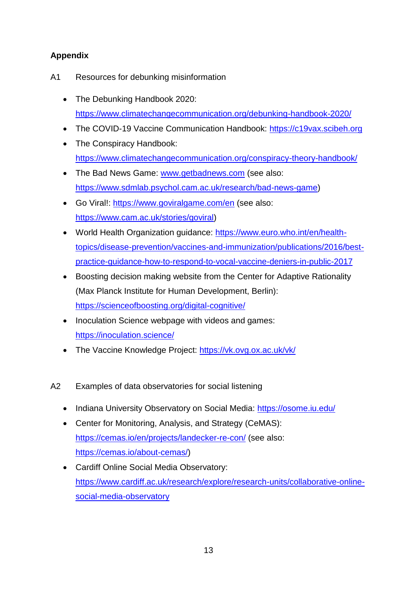### **Appendix**

- A1 Resources for debunking misinformation
	- The Debunking Handbook 2020: <https://www.climatechangecommunication.org/debunking-handbook-2020/>
	- The COVID-19 Vaccine Communication Handbook: [https://c19vax.scibeh.org](https://c19vax.scibeh.org/)
	- The Conspiracy Handbook: <https://www.climatechangecommunication.org/conspiracy-theory-handbook/>
	- The Bad News Game: [www.getbadnews.com](http://www.getbadnews.com/) (see also: [https://www.sdmlab.psychol.cam.ac.uk/research/bad-news-game\)](https://www.sdmlab.psychol.cam.ac.uk/research/bad-news-game)
	- Go Viral!:<https://www.goviralgame.com/en> (see also: [https://www.cam.ac.uk/stories/goviral\)](https://www.cam.ac.uk/stories/goviral)
	- World Health Organization guidance: [https://www.euro.who.int/en/health](https://www.euro.who.int/en/health-topics/disease-prevention/vaccines-and-immunization/publications/2016/best-practice-guidance-how-to-respond-to-vocal-vaccine-deniers-in-public-2017)[topics/disease-prevention/vaccines-and-immunization/publications/2016/best](https://www.euro.who.int/en/health-topics/disease-prevention/vaccines-and-immunization/publications/2016/best-practice-guidance-how-to-respond-to-vocal-vaccine-deniers-in-public-2017)[practice-guidance-how-to-respond-to-vocal-vaccine-deniers-in-public-2017](https://www.euro.who.int/en/health-topics/disease-prevention/vaccines-and-immunization/publications/2016/best-practice-guidance-how-to-respond-to-vocal-vaccine-deniers-in-public-2017)
	- Boosting decision making website from the Center for Adaptive Rationality (Max Planck Institute for Human Development, Berlin): <https://scienceofboosting.org/digital-cognitive/>
	- Inoculation Science webpage with videos and games: <https://inoculation.science/>
	- The Vaccine Knowledge Project:<https://vk.ovg.ox.ac.uk/vk/>
- A2 Examples of data observatories for social listening
	- Indiana University Observatory on Social Media:<https://osome.iu.edu/>
	- Center for Monitoring, Analysis, and Strategy (CeMAS): <https://cemas.io/en/projects/landecker-re-con/> (see also: [https://cemas.io/about-cemas/\)](https://cemas.io/about-cemas/)
	- Cardiff Online Social Media Observatory: [https://www.cardiff.ac.uk/research/explore/research-units/collaborative-online](https://www.cardiff.ac.uk/research/explore/research-units/collaborative-online-social-media-observatory)[social-media-observatory](https://www.cardiff.ac.uk/research/explore/research-units/collaborative-online-social-media-observatory)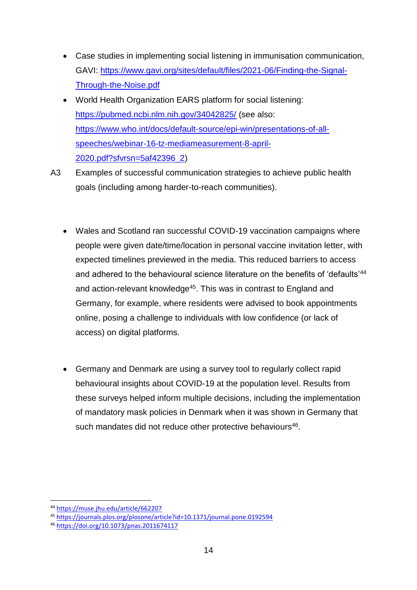- Case studies in implementing social listening in immunisation communication, GAVI: [https://www.gavi.org/sites/default/files/2021-06/Finding-the-Signal-](https://www.gavi.org/sites/default/files/2021-06/Finding-the-Signal-Through-the-Noise.pdf)[Through-the-Noise.pdf](https://www.gavi.org/sites/default/files/2021-06/Finding-the-Signal-Through-the-Noise.pdf)
- World Health Organization EARS platform for social listening: <https://pubmed.ncbi.nlm.nih.gov/34042825/> (see also: [https://www.who.int/docs/default-source/epi-win/presentations-of-all](https://www.who.int/docs/default-source/epi-win/presentations-of-all-speeches/webinar-16-tz-mediameasurement-8-april-2020.pdf?sfvrsn=5af42396_2)[speeches/webinar-16-tz-mediameasurement-8-april-](https://www.who.int/docs/default-source/epi-win/presentations-of-all-speeches/webinar-16-tz-mediameasurement-8-april-2020.pdf?sfvrsn=5af42396_2)[2020.pdf?sfvrsn=5af42396\\_2\)](https://www.who.int/docs/default-source/epi-win/presentations-of-all-speeches/webinar-16-tz-mediameasurement-8-april-2020.pdf?sfvrsn=5af42396_2)
- A3 Examples of successful communication strategies to achieve public health goals (including among harder-to-reach communities).
	- Wales and Scotland ran successful COVID-19 vaccination campaigns where people were given date/time/location in personal vaccine invitation letter, with expected timelines previewed in the media. This reduced barriers to access and adhered to the behavioural science literature on the benefits of 'defaults'<sup>44</sup> and action-relevant knowledge<sup>45</sup>. This was in contrast to England and Germany, for example, where residents were advised to book appointments online, posing a challenge to individuals with low confidence (or lack of access) on digital platforms.
	- Germany and Denmark are using a survey tool to regularly collect rapid behavioural insights about COVID-19 at the population level. Results from these surveys helped inform multiple decisions, including the implementation of mandatory mask policies in Denmark when it was shown in Germany that such mandates did not reduce other protective behaviours<sup>46</sup>.

<u>.</u>

<sup>44</sup> <https://muse.jhu.edu/article/662207>

<sup>45</sup> <https://journals.plos.org/plosone/article?id=10.1371/journal.pone.0192594>

<sup>46</sup> <https://doi.org/10.1073/pnas.2011674117>